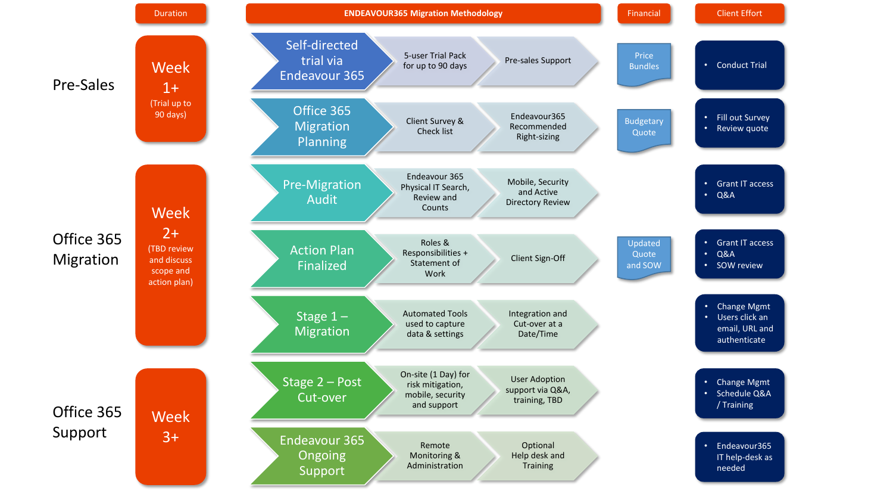